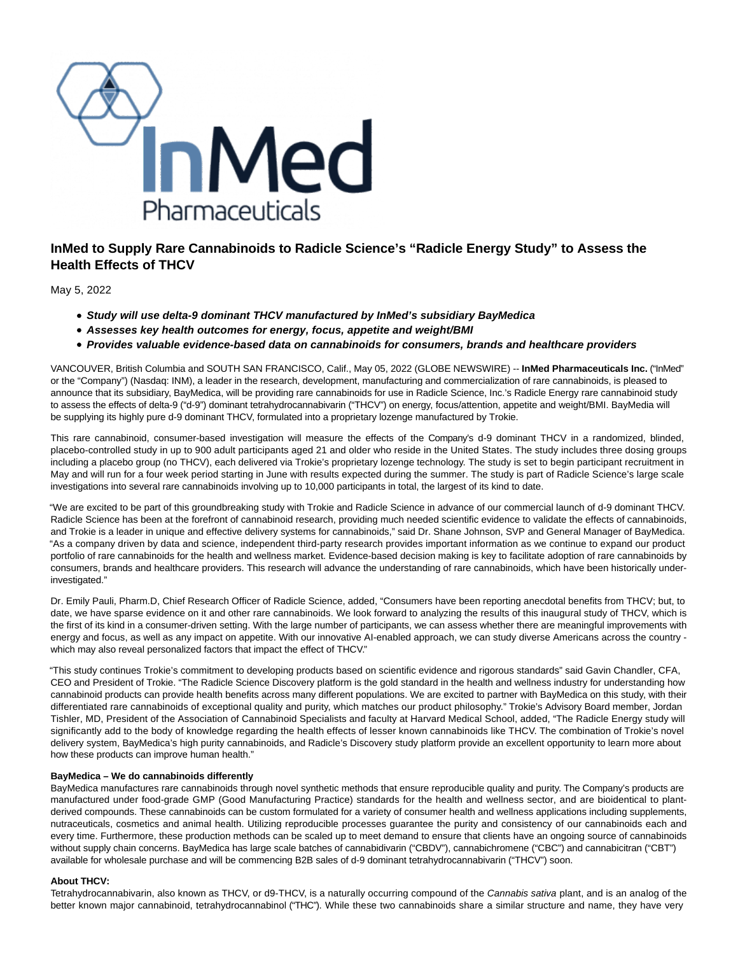

## **InMed to Supply Rare Cannabinoids to Radicle Science's "Radicle Energy Study" to Assess the Health Effects of THCV**

May 5, 2022

- **Study will use delta-9 dominant THCV manufactured by InMed's subsidiary BayMedica**
- **Assesses key health outcomes for energy, focus, appetite and weight/BMI**
- **Provides valuable evidence-based data on cannabinoids for consumers, brands and healthcare providers**

VANCOUVER, British Columbia and SOUTH SAN FRANCISCO, Calif., May 05, 2022 (GLOBE NEWSWIRE) -- **InMed Pharmaceuticals Inc.** ("InMed" or the "Company") (Nasdaq: INM), a leader in the research, development, manufacturing and commercialization of rare cannabinoids, is pleased to announce that its subsidiary, BayMedica, will be providing rare cannabinoids for use in Radicle Science, Inc.'s Radicle Energy rare cannabinoid study to assess the effects of delta-9 ("d-9") dominant tetrahydrocannabivarin ("THCV") on energy, focus/attention, appetite and weight/BMI. BayMedia will be supplying its highly pure d-9 dominant THCV, formulated into a proprietary lozenge manufactured by Trokie.

This rare cannabinoid, consumer-based investigation will measure the effects of the Company's d-9 dominant THCV in a randomized, blinded, placebo-controlled study in up to 900 adult participants aged 21 and older who reside in the United States. The study includes three dosing groups including a placebo group (no THCV), each delivered via Trokie's proprietary lozenge technology. The study is set to begin participant recruitment in May and will run for a four week period starting in June with results expected during the summer. The study is part of Radicle Science's large scale investigations into several rare cannabinoids involving up to 10,000 participants in total, the largest of its kind to date.

"We are excited to be part of this groundbreaking study with Trokie and Radicle Science in advance of our commercial launch of d-9 dominant THCV. Radicle Science has been at the forefront of cannabinoid research, providing much needed scientific evidence to validate the effects of cannabinoids, and Trokie is a leader in unique and effective delivery systems for cannabinoids," said Dr. Shane Johnson, SVP and General Manager of BayMedica. "As a company driven by data and science, independent third-party research provides important information as we continue to expand our product portfolio of rare cannabinoids for the health and wellness market. Evidence-based decision making is key to facilitate adoption of rare cannabinoids by consumers, brands and healthcare providers. This research will advance the understanding of rare cannabinoids, which have been historically underinvestigated."

Dr. Emily Pauli, Pharm.D, Chief Research Officer of Radicle Science, added, "Consumers have been reporting anecdotal benefits from THCV; but, to date, we have sparse evidence on it and other rare cannabinoids. We look forward to analyzing the results of this inaugural study of THCV, which is the first of its kind in a consumer-driven setting. With the large number of participants, we can assess whether there are meaningful improvements with energy and focus, as well as any impact on appetite. With our innovative AI-enabled approach, we can study diverse Americans across the country which may also reveal personalized factors that impact the effect of THCV."

"This study continues Trokie's commitment to developing products based on scientific evidence and rigorous standards" said Gavin Chandler, CFA, CEO and President of Trokie. "The Radicle Science Discovery platform is the gold standard in the health and wellness industry for understanding how cannabinoid products can provide health benefits across many different populations. We are excited to partner with BayMedica on this study, with their differentiated rare cannabinoids of exceptional quality and purity, which matches our product philosophy." Trokie's Advisory Board member, Jordan Tishler, MD, President of the Association of Cannabinoid Specialists and faculty at Harvard Medical School, added, "The Radicle Energy study will significantly add to the body of knowledge regarding the health effects of lesser known cannabinoids like THCV. The combination of Trokie's novel delivery system, BayMedica's high purity cannabinoids, and Radicle's Discovery study platform provide an excellent opportunity to learn more about how these products can improve human health."

## **BayMedica – We do cannabinoids differently**

BayMedica manufactures rare cannabinoids through novel synthetic methods that ensure reproducible quality and purity. The Company's products are manufactured under food-grade GMP (Good Manufacturing Practice) standards for the health and wellness sector, and are bioidentical to plantderived compounds. These cannabinoids can be custom formulated for a variety of consumer health and wellness applications including supplements, nutraceuticals, cosmetics and animal health. Utilizing reproducible processes guarantee the purity and consistency of our cannabinoids each and every time. Furthermore, these production methods can be scaled up to meet demand to ensure that clients have an ongoing source of cannabinoids without supply chain concerns. BayMedica has large scale batches of cannabidivarin ("CBDV"), cannabichromene ("CBC") and cannabicitran ("CBT") available for wholesale purchase and will be commencing B2B sales of d-9 dominant tetrahydrocannabivarin ("THCV") soon.

## **About THCV:**

Tetrahydrocannabivarin, also known as THCV, or d9-THCV, is a naturally occurring compound of the Cannabis sativa plant, and is an analog of the better known major cannabinoid, tetrahydrocannabinol ("THC"). While these two cannabinoids share a similar structure and name, they have very